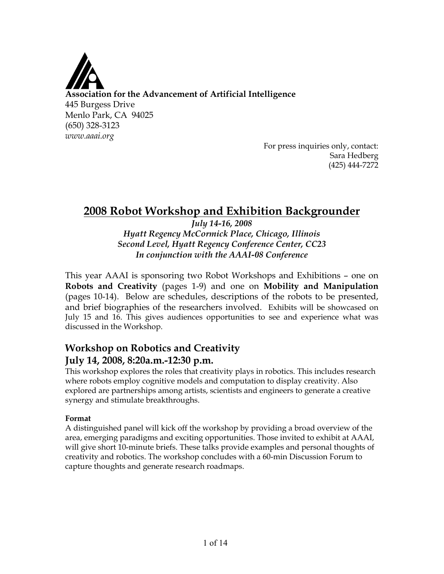

For press inquiries only, contact: Sara Hedberg (425) 444-7272

# **2008 Robot Workshop and Exhibition Backgrounder**

*July 14-16, 2008 Hyatt Regency McCormick Place, Chicago, Illinois Second Level, Hyatt Regency Conference Center, CC23 In conjunction with the AAAI-08 Conference*

This year AAAI is sponsoring two Robot Workshops and Exhibitions – one on **Robots and Creativity** (pages 1-9) and one on **Mobility and Manipulation** (pages 10-14). Below are schedules, descriptions of the robots to be presented, and brief biographies of the researchers involved. Exhibits will be showcased on July 15 and 16. This gives audiences opportunities to see and experience what was discussed in the Workshop.

# **Workshop on Robotics and Creativity July 14, 2008, 8:20a.m.-12:30 p.m.**

This workshop explores the roles that creativity plays in robotics. This includes research where robots employ cognitive models and computation to display creativity. Also explored are partnerships among artists, scientists and engineers to generate a creative synergy and stimulate breakthroughs.

# **Format**

A distinguished panel will kick off the workshop by providing a broad overview of the area, emerging paradigms and exciting opportunities. Those invited to exhibit at AAAI, will give short 10-minute briefs. These talks provide examples and personal thoughts of creativity and robotics. The workshop concludes with a 60-min Discussion Forum to capture thoughts and generate research roadmaps.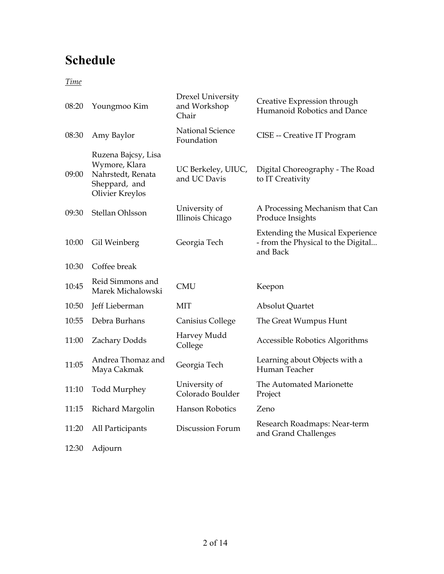# **Schedule**

*Time*

| 08:20 | Youngmoo Kim                                                                                  | Drexel University<br>and Workshop<br>Chair | Creative Expression through<br>Humanoid Robotics and Dance                                |
|-------|-----------------------------------------------------------------------------------------------|--------------------------------------------|-------------------------------------------------------------------------------------------|
| 08:30 | Amy Baylor                                                                                    | <b>National Science</b><br>Foundation      | CISE -- Creative IT Program                                                               |
| 09:00 | Ruzena Bajcsy, Lisa<br>Wymore, Klara<br>Nahrstedt, Renata<br>Sheppard, and<br>Olivier Kreylos | UC Berkeley, UIUC,<br>and UC Davis         | Digital Choreography - The Road<br>to IT Creativity                                       |
| 09:30 | Stellan Ohlsson                                                                               | University of<br>Illinois Chicago          | A Processing Mechanism that Can<br>Produce Insights                                       |
| 10:00 | Gil Weinberg                                                                                  | Georgia Tech                               | <b>Extending the Musical Experience</b><br>- from the Physical to the Digital<br>and Back |
| 10:30 | Coffee break                                                                                  |                                            |                                                                                           |
| 10:45 | Reid Simmons and<br>Marek Michalowski                                                         | <b>CMU</b>                                 | Keepon                                                                                    |
| 10:50 | Jeff Lieberman                                                                                | <b>MIT</b>                                 | Absolut Quartet                                                                           |
| 10:55 | Debra Burhans                                                                                 | Canisius College                           | The Great Wumpus Hunt                                                                     |
| 11:00 | Zachary Dodds                                                                                 | Harvey Mudd<br>College                     | Accessible Robotics Algorithms                                                            |
| 11:05 | Andrea Thomaz and<br>Maya Cakmak                                                              | Georgia Tech                               | Learning about Objects with a<br>Human Teacher                                            |
| 11:10 | <b>Todd Murphey</b>                                                                           | University of<br>Colorado Boulder          | The Automated Marionette<br>Project                                                       |
| 11:15 | Richard Margolin                                                                              | <b>Hanson Robotics</b>                     | Zeno                                                                                      |
| 11:20 | All Participants                                                                              | Discussion Forum                           | Research Roadmaps: Near-term<br>and Grand Challenges                                      |
|       |                                                                                               |                                            |                                                                                           |

12:30 Adjourn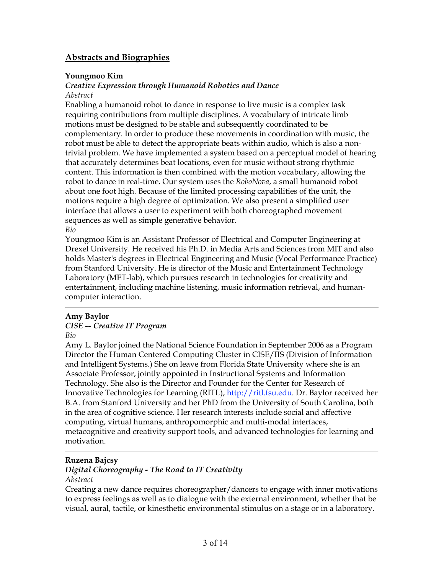# **Abstracts and Biographies**

### **Youngmoo Kim**

# *Creative Expression through Humanoid Robotics and Dance*

### *Abstract*

Enabling a humanoid robot to dance in response to live music is a complex task requiring contributions from multiple disciplines. A vocabulary of intricate limb motions must be designed to be stable and subsequently coordinated to be complementary. In order to produce these movements in coordination with music, the robot must be able to detect the appropriate beats within audio, which is also a nontrivial problem. We have implemented a system based on a perceptual model of hearing that accurately determines beat locations, even for music without strong rhythmic content. This information is then combined with the motion vocabulary, allowing the robot to dance in real-time. Our system uses the *RoboNova*, a small humanoid robot about one foot high. Because of the limited processing capabilities of the unit, the motions require a high degree of optimization. We also present a simplified user interface that allows a user to experiment with both choreographed movement sequences as well as simple generative behavior. *Bio*

Youngmoo Kim is an Assistant Professor of Electrical and Computer Engineering at Drexel University. He received his Ph.D. in Media Arts and Sciences from MIT and also holds Master's degrees in Electrical Engineering and Music (Vocal Performance Practice) from Stanford University. He is director of the Music and Entertainment Technology Laboratory (MET-lab), which pursues research in technologies for creativity and entertainment, including machine listening, music information retrieval, and humancomputer interaction.

### **Amy Baylor**

### *CISE -- Creative IT Program*

*Bio*

Amy L. Baylor joined the National Science Foundation in September 2006 as a Program Director the Human Centered Computing Cluster in CISE/IIS (Division of Information and Intelligent Systems.) She on leave from Florida State University where she is an Associate Professor, jointly appointed in Instructional Systems and Information Technology. She also is the Director and Founder for the Center for Research of Innovative Technologies for Learning (RITL), http://ritl.fsu.edu. Dr. Baylor received her B.A. from Stanford University and her PhD from the University of South Carolina, both in the area of cognitive science. Her research interests include social and affective computing, virtual humans, anthropomorphic and multi-modal interfaces, metacognitive and creativity support tools, and advanced technologies for learning and motivation.

### **Ruzena Bajcsy**

### *Digital Choreography - The Road to IT Creativity Abstract*

Creating a new dance requires choreographer/dancers to engage with inner motivations to express feelings as well as to dialogue with the external environment, whether that be visual, aural, tactile, or kinesthetic environmental stimulus on a stage or in a laboratory.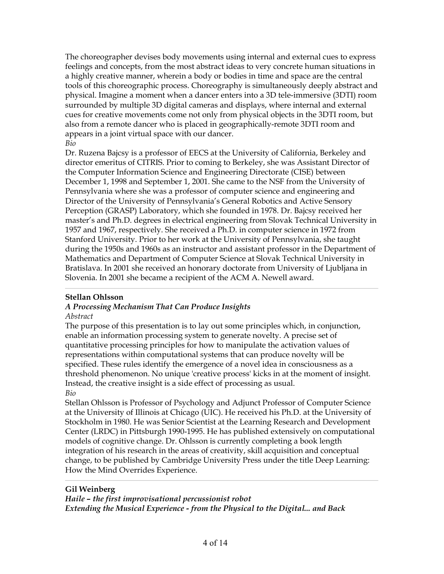The choreographer devises body movements using internal and external cues to express feelings and concepts, from the most abstract ideas to very concrete human situations in a highly creative manner, wherein a body or bodies in time and space are the central tools of this choreographic process. Choreography is simultaneously deeply abstract and physical. Imagine a moment when a dancer enters into a 3D tele-immersive (3DTI) room surrounded by multiple 3D digital cameras and displays, where internal and external cues for creative movements come not only from physical objects in the 3DTI room, but also from a remote dancer who is placed in geographically-remote 3DTI room and appears in a joint virtual space with our dancer. *Bio*

Dr. Ruzena Bajcsy is a professor of EECS at the University of California, Berkeley and director emeritus of CITRIS. Prior to coming to Berkeley, she was Assistant Director of the Computer Information Science and Engineering Directorate (CISE) between December 1, 1998 and September 1, 2001. She came to the NSF from the University of Pennsylvania where she was a professor of computer science and engineering and Director of the University of Pennsylvania's General Robotics and Active Sensory Perception (GRASP) Laboratory, which she founded in 1978. Dr. Bajcsy received her master's and Ph.D. degrees in electrical engineering from Slovak Technical University in 1957 and 1967, respectively. She received a Ph.D. in computer science in 1972 from Stanford University. Prior to her work at the University of Pennsylvania, she taught during the 1950s and 1960s as an instructor and assistant professor in the Department of Mathematics and Department of Computer Science at Slovak Technical University in Bratislava. In 2001 she received an honorary doctorate from University of Ljubljana in Slovenia. In 2001 she became a recipient of the ACM A. Newell award.

# **Stellan Ohlsson**

# *A Processing Mechanism That Can Produce Insights*

### *Abstract*

The purpose of this presentation is to lay out some principles which, in conjunction, enable an information processing system to generate novelty. A precise set of quantitative processing principles for how to manipulate the activation values of representations within computational systems that can produce novelty will be specified. These rules identify the emergence of a novel idea in consciousness as a threshold phenomenon. No unique 'creative process' kicks in at the moment of insight. Instead, the creative insight is a side effect of processing as usual. *Bio*

Stellan Ohlsson is Professor of Psychology and Adjunct Professor of Computer Science at the University of Illinois at Chicago (UIC). He received his Ph.D. at the University of Stockholm in 1980. He was Senior Scientist at the Learning Research and Development Center (LRDC) in Pittsburgh 1990-1995. He has published extensively on computational models of cognitive change. Dr. Ohlsson is currently completing a book length integration of his research in the areas of creativity, skill acquisition and conceptual change, to be published by Cambridge University Press under the title Deep Learning: How the Mind Overrides Experience.

# **Gil Weinberg**

*Haile – the first improvisational percussionist robot Extending the Musical Experience - from the Physical to the Digital... and Back*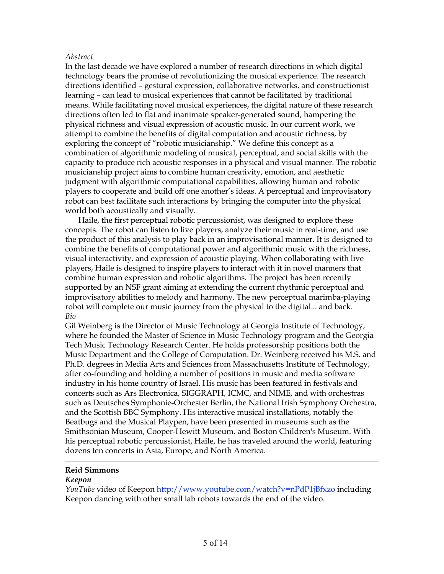### *Abstract*

In the last decade we have explored a number of research directions in which digital technology bears the promise of revolutionizing the musical experience. The research directions identified – gestural expression, collaborative networks, and constructionist learning – can lead to musical experiences that cannot be facilitated by traditional means. While facilitating novel musical experiences, the digital nature of these research directions often led to flat and inanimate speaker-generated sound, hampering the physical richness and visual expression of acoustic music. In our current work, we attempt to combine the benefits of digital computation and acoustic richness, by exploring the concept of "robotic musicianship." We define this concept as a combination of algorithmic modeling of musical, perceptual, and social skills with the capacity to produce rich acoustic responses in a physical and visual manner. The robotic musicianship project aims to combine human creativity, emotion, and aesthetic judgment with algorithmic computational capabilities, allowing human and robotic players to cooperate and build off one another's ideas. A perceptual and improvisatory robot can best facilitate such interactions by bringing the computer into the physical world both acoustically and visually.

Haile, the first perceptual robotic percussionist, was designed to explore these concepts. The robot can listen to live players, analyze their music in real-time, and use the product of this analysis to play back in an improvisational manner. It is designed to combine the benefits of computational power and algorithmic music with the richness, visual interactivity, and expression of acoustic playing. When collaborating with live players, Haile is designed to inspire players to interact with it in novel manners that combine human expression and robotic algorithms. The project has been recently supported by an NSF grant aiming at extending the current rhythmic perceptual and improvisatory abilities to melody and harmony. The new perceptual marimba-playing robot will complete our music journey from the physical to the digital... and back. *Bio*

Gil Weinberg is the Director of Music Technology at Georgia Institute of Technology, where he founded the Master of Science in Music Technology program and the Georgia Tech Music Technology Research Center. He holds professorship positions both the Music Department and the College of Computation. Dr. Weinberg received his M.S. and Ph.D. degrees in Media Arts and Sciences from Massachusetts Institute of Technology, after co-founding and holding a number of positions in music and media software industry in his home country of Israel. His music has been featured in festivals and concerts such as Ars Electronica, SIGGRAPH, ICMC, and NIME, and with orchestras such as Deutsches Symphonie-Orchester Berlin, the National Irish Symphony Orchestra, and the Scottish BBC Symphony. His interactive musical installations, notably the Beatbugs and the Musical Playpen, have been presented in museums such as the Smithsonian Museum, Cooper-Hewitt Museum, and Boston Children's Museum. With his perceptual robotic percussionist, Haile, he has traveled around the world, featuring dozens ten concerts in Asia, Europe, and North America.

### **Reid Simmons**

### *Keepon*

*YouTube* video of Keepon http://www.youtube.com/watch?v=nPdP1jBfxzo including Keepon dancing with other small lab robots towards the end of the video.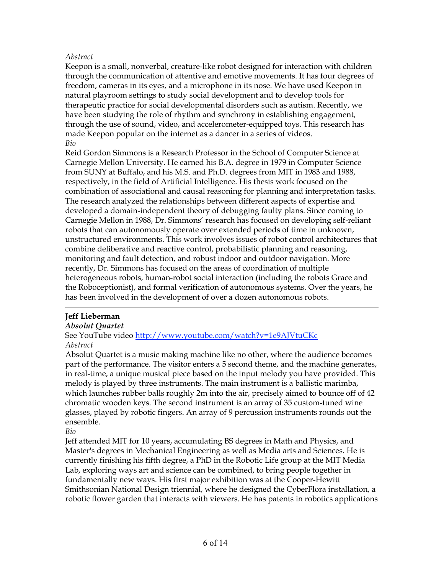### *Abstract*

Keepon is a small, nonverbal, creature-like robot designed for interaction with children through the communication of attentive and emotive movements. It has four degrees of freedom, cameras in its eyes, and a microphone in its nose. We have used Keepon in natural playroom settings to study social development and to develop tools for therapeutic practice for social developmental disorders such as autism. Recently, we have been studying the role of rhythm and synchrony in establishing engagement, through the use of sound, video, and accelerometer-equipped toys. This research has made Keepon popular on the internet as a dancer in a series of videos. *Bio*

Reid Gordon Simmons is a Research Professor in the School of Computer Science at Carnegie Mellon University. He earned his B.A. degree in 1979 in Computer Science from SUNY at Buffalo, and his M.S. and Ph.D. degrees from MIT in 1983 and 1988, respectively, in the field of Artificial Intelligence. His thesis work focused on the combination of associational and causal reasoning for planning and interpretation tasks. The research analyzed the relationships between different aspects of expertise and developed a domain-independent theory of debugging faulty plans. Since coming to Carnegie Mellon in 1988, Dr. Simmons' research has focused on developing self-reliant robots that can autonomously operate over extended periods of time in unknown, unstructured environments. This work involves issues of robot control architectures that combine deliberative and reactive control, probabilistic planning and reasoning, monitoring and fault detection, and robust indoor and outdoor navigation. More recently, Dr. Simmons has focused on the areas of coordination of multiple heterogeneous robots, human-robot social interaction (including the robots Grace and the Roboceptionist), and formal verification of autonomous systems. Over the years, he has been involved in the development of over a dozen autonomous robots.

### **Jeff Lieberman**

### *Absolut Quartet*

See YouTube video http://www.youtube.com/watch?v=1e9AJVtuCKc *Abstract*

Absolut Quartet is a music making machine like no other, where the audience becomes part of the performance. The visitor enters a 5 second theme, and the machine generates, in real-time, a unique musical piece based on the input melody you have provided. This melody is played by three instruments. The main instrument is a ballistic marimba, which launches rubber balls roughly 2m into the air, precisely aimed to bounce off of 42 chromatic wooden keys. The second instrument is an array of 35 custom-tuned wine glasses, played by robotic fingers. An array of 9 percussion instruments rounds out the ensemble.

*Bio*

Jeff attended MIT for 10 years, accumulating BS degrees in Math and Physics, and Master's degrees in Mechanical Engineering as well as Media arts and Sciences. He is currently finishing his fifth degree, a PhD in the Robotic Life group at the MIT Media Lab, exploring ways art and science can be combined, to bring people together in fundamentally new ways. His first major exhibition was at the Cooper-Hewitt Smithsonian National Design triennial, where he designed the CyberFlora installation, a robotic flower garden that interacts with viewers. He has patents in robotics applications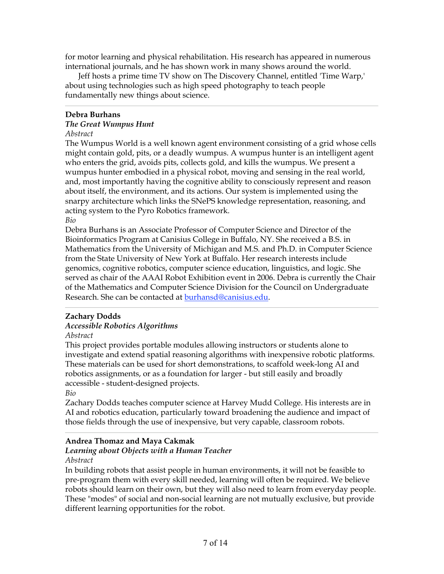for motor learning and physical rehabilitation. His research has appeared in numerous international journals, and he has shown work in many shows around the world.

Jeff hosts a prime time TV show on The Discovery Channel, entitled 'Time Warp,' about using technologies such as high speed photography to teach people fundamentally new things about science.

### **Debra Burhans**

### *The Great Wumpus Hunt*

### *Abstract*

The Wumpus World is a well known agent environment consisting of a grid whose cells might contain gold, pits, or a deadly wumpus. A wumpus hunter is an intelligent agent who enters the grid, avoids pits, collects gold, and kills the wumpus. We present a wumpus hunter embodied in a physical robot, moving and sensing in the real world, and, most importantly having the cognitive ability to consciously represent and reason about itself, the environment, and its actions. Our system is implemented using the snarpy architecture which links the SNePS knowledge representation, reasoning, and acting system to the Pyro Robotics framework. *Bio*

Debra Burhans is an Associate Professor of Computer Science and Director of the Bioinformatics Program at Canisius College in Buffalo, NY. She received a B.S. in Mathematics from the University of Michigan and M.S. and Ph.D. in Computer Science from the State University of New York at Buffalo. Her research interests include genomics, cognitive robotics, computer science education, linguistics, and logic. She served as chair of the AAAI Robot Exhibition event in 2006. Debra is currently the Chair of the Mathematics and Computer Science Division for the Council on Undergraduate Research. She can be contacted at **burhansd@canisius.edu**.

### **Zachary Dodds**

### *Accessible Robotics Algorithms*

*Abstract*

This project provides portable modules allowing instructors or students alone to investigate and extend spatial reasoning algorithms with inexpensive robotic platforms. These materials can be used for short demonstrations, to scaffold week-long AI and robotics assignments, or as a foundation for larger - but still easily and broadly accessible - student-designed projects.

*Bio*

Zachary Dodds teaches computer science at Harvey Mudd College. His interests are in AI and robotics education, particularly toward broadening the audience and impact of those fields through the use of inexpensive, but very capable, classroom robots.

### **Andrea Thomaz and Maya Cakmak**

#### *Learning about Objects with a Human Teacher Abstract*

In building robots that assist people in human environments, it will not be feasible to pre-program them with every skill needed, learning will often be required. We believe robots should learn on their own, but they will also need to learn from everyday people. These "modes" of social and non-social learning are not mutually exclusive, but provide different learning opportunities for the robot.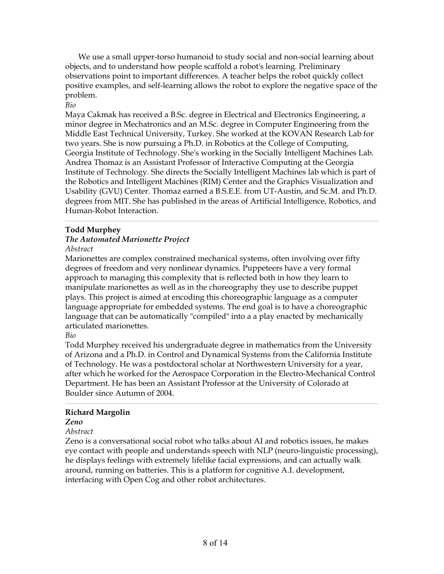We use a small upper-torso humanoid to study social and non-social learning about objects, and to understand how people scaffold a robot's learning. Preliminary observations point to important differences. A teacher helps the robot quickly collect positive examples, and self-learning allows the robot to explore the negative space of the problem.

### *Bio*

Maya Cakmak has received a B.Sc. degree in Electrical and Electronics Engineering, a minor degree in Mechatronics and an M.Sc. degree in Computer Engineering from the Middle East Technical University, Turkey. She worked at the KOVAN Research Lab for two years. She is now pursuing a Ph.D. in Robotics at the College of Computing, Georgia Institute of Technology. She's working in the Socially Intelligent Machines Lab. Andrea Thomaz is an Assistant Professor of Interactive Computing at the Georgia Institute of Technology. She directs the Socially Intelligent Machines lab which is part of the Robotics and Intelligent Machines (RIM) Center and the Graphics Visualization and Usability (GVU) Center. Thomaz earned a B.S.E.E. from UT-Austin, and Sc.M. and Ph.D. degrees from MIT. She has published in the areas of Artificial Intelligence, Robotics, and Human-Robot Interaction.

### **Todd Murphey**

### *The Automated Marionette Project*

### *Abstract*

Marionettes are complex constrained mechanical systems, often involving over fifty degrees of freedom and very nonlinear dynamics. Puppeteers have a very formal approach to managing this complexity that is reflected both in how they learn to manipulate marionettes as well as in the choreography they use to describe puppet plays. This project is aimed at encoding this choreographic language as a computer language appropriate for embedded systems. The end goal is to have a choreographic language that can be automatically "compiled" into a a play enacted by mechanically articulated marionettes.

### *Bio*

Todd Murphey received his undergraduate degree in mathematics from the University of Arizona and a Ph.D. in Control and Dynamical Systems from the California Institute of Technology. He was a postdoctoral scholar at Northwestern University for a year, after which he worked for the Aerospace Corporation in the Electro-Mechanical Control Department. He has been an Assistant Professor at the University of Colorado at Boulder since Autumn of 2004.

### **Richard Margolin**

### *Zeno*

### *Abstract*

Zeno is a conversational social robot who talks about AI and robotics issues, he makes eye contact with people and understands speech with NLP (neuro-linguistic processing), he displays feelings with extremely lifelike facial expressions, and can actually walk around, running on batteries. This is a platform for cognitive A.I. development, interfacing with Open Cog and other robot architectures.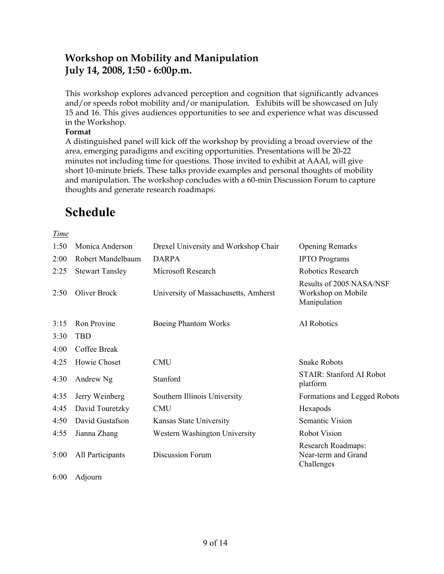# **Workshop on Mobility and Manipulation July 14, 2008, 1:50 - 6:00p.m.**

This workshop explores advanced perception and cognition that significantly advances and/or speeds robot mobility and/or manipulation. Exhibits will be showcased on July 15 and 16. This gives audiences opportunities to see and experience what was discussed in the Workshop.

### **Format**

A distinguished panel will kick off the workshop by providing a broad overview of the area, emerging paradigms and exciting opportunities. Presentations will be 20-22 minutes not including time for questions. Those invited to exhibit at AAAI, will give short 10-minute briefs. These talks provide examples and personal thoughts of mobility and manipulation. The workshop concludes with a 60-min Discussion Forum to capture thoughts and generate research roadmaps.

# **Schedule**

*Time*

| 1:50 | Monica Anderson        | Drexel University and Workshop Chair | <b>Opening Remarks</b>                                         |
|------|------------------------|--------------------------------------|----------------------------------------------------------------|
| 2:00 | Robert Mandelbaum      | <b>DARPA</b>                         | <b>IPTO</b> Programs                                           |
| 2:25 | <b>Stewart Tansley</b> | Microsoft Research                   | Robotics Research                                              |
| 2:50 | Oliver Brock           | University of Massachusetts, Amherst | Results of 2005 NASA/NSF<br>Workshop on Mobile<br>Manipulation |
| 3:15 | Ron Provine            | <b>Boeing Phantom Works</b>          | AI Robotics                                                    |
| 3:30 | <b>TBD</b>             |                                      |                                                                |
| 4:00 | Coffee Break           |                                      |                                                                |
| 4:25 | Howie Choset           | <b>CMU</b>                           | <b>Snake Robots</b>                                            |
| 4:30 | Andrew Ng              | Stanford                             | <b>STAIR: Stanford AI Robot</b><br>platform                    |
| 4:35 | Jerry Weinberg         | Southern Illinois University         | Formations and Legged Robots                                   |
| 4:45 | David Touretzky        | <b>CMU</b>                           | Hexapods                                                       |
| 4:50 | David Gustafson        | Kansas State University              | Semantic Vision                                                |
| 4:55 | Jianna Zhang           | Western Washington University        | <b>Robot Vision</b>                                            |
| 5:00 | All Participants       | Discussion Forum                     | Research Roadmaps:<br>Near-term and Grand<br>Challenges        |
|      |                        |                                      |                                                                |

6:00 Adjourn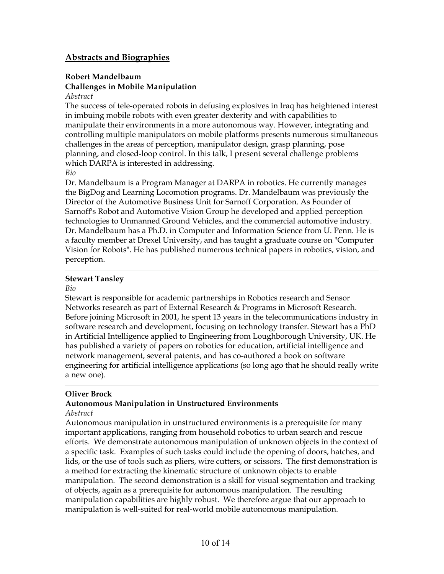# **Abstracts and Biographies**

# **Robert Mandelbaum Challenges in Mobile Manipulation**

#### *Abstract*

The success of tele-operated robots in defusing explosives in Iraq has heightened interest in imbuing mobile robots with even greater dexterity and with capabilities to manipulate their environments in a more autonomous way. However, integrating and controlling multiple manipulators on mobile platforms presents numerous simultaneous challenges in the areas of perception, manipulator design, grasp planning, pose planning, and closed-loop control. In this talk, I present several challenge problems which DARPA is interested in addressing.

#### *Bio*

Dr. Mandelbaum is a Program Manager at DARPA in robotics. He currently manages the BigDog and Learning Locomotion programs. Dr. Mandelbaum was previously the Director of the Automotive Business Unit for Sarnoff Corporation. As Founder of Sarnoff's Robot and Automotive Vision Group he developed and applied perception technologies to Unmanned Ground Vehicles, and the commercial automotive industry. Dr. Mandelbaum has a Ph.D. in Computer and Information Science from U. Penn. He is a faculty member at Drexel University, and has taught a graduate course on "Computer Vision for Robots". He has published numerous technical papers in robotics, vision, and perception.

### **Stewart Tansley**

### *Bio*

Stewart is responsible for academic partnerships in Robotics research and Sensor Networks research as part of External Research & Programs in Microsoft Research. Before joining Microsoft in 2001, he spent 13 years in the telecommunications industry in software research and development, focusing on technology transfer. Stewart has a PhD in Artificial Intelligence applied to Engineering from Loughborough University, UK. He has published a variety of papers on robotics for education, artificial intelligence and network management, several patents, and has co-authored a book on software engineering for artificial intelligence applications (so long ago that he should really write a new one).

### **Oliver Brock**

### **Autonomous Manipulation in Unstructured Environments**

### *Abstract*

Autonomous manipulation in unstructured environments is a prerequisite for many important applications, ranging from household robotics to urban search and rescue efforts. We demonstrate autonomous manipulation of unknown objects in the context of a specific task. Examples of such tasks could include the opening of doors, hatches, and lids, or the use of tools such as pliers, wire cutters, or scissors. The first demonstration is a method for extracting the kinematic structure of unknown objects to enable manipulation. The second demonstration is a skill for visual segmentation and tracking of objects, again as a prerequisite for autonomous manipulation. The resulting manipulation capabilities are highly robust. We therefore argue that our approach to manipulation is well-suited for real-world mobile autonomous manipulation.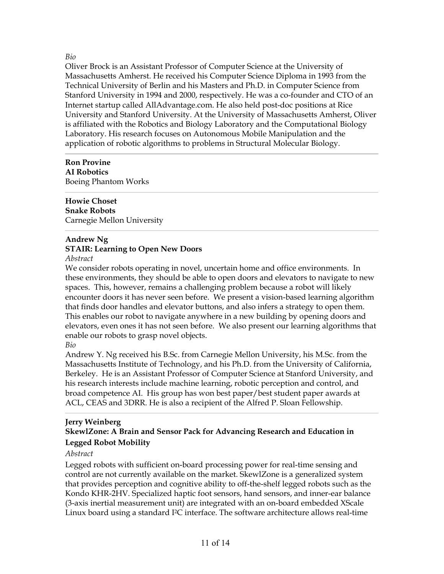### *Bio*

Oliver Brock is an Assistant Professor of Computer Science at the University of Massachusetts Amherst. He received his Computer Science Diploma in 1993 from the Technical University of Berlin and his Masters and Ph.D. in Computer Science from Stanford University in 1994 and 2000, respectively. He was a co-founder and CTO of an Internet startup called AllAdvantage.com. He also held post-doc positions at Rice University and Stanford University. At the University of Massachusetts Amherst, Oliver is affiliated with the Robotics and Biology Laboratory and the Computational Biology Laboratory. His research focuses on Autonomous Mobile Manipulation and the application of robotic algorithms to problems in Structural Molecular Biology.

### **Ron Provine AI Robotics** Boeing Phantom Works

### **Howie Choset Snake Robots** Carnegie Mellon University

# **Andrew Ng**

# **STAIR: Learning to Open New Doors**

*Abstract*

We consider robots operating in novel, uncertain home and office environments. In these environments, they should be able to open doors and elevators to navigate to new spaces. This, however, remains a challenging problem because a robot will likely encounter doors it has never seen before. We present a vision-based learning algorithm that finds door handles and elevator buttons, and also infers a strategy to open them. This enables our robot to navigate anywhere in a new building by opening doors and elevators, even ones it has not seen before. We also present our learning algorithms that enable our robots to grasp novel objects.

### *Bio*

Andrew Y. Ng received his B.Sc. from Carnegie Mellon University, his M.Sc. from the Massachusetts Institute of Technology, and his Ph.D. from the University of California, Berkeley. He is an Assistant Professor of Computer Science at Stanford University, and his research interests include machine learning, robotic perception and control, and broad competence AI. His group has won best paper/best student paper awards at ACL, CEAS and 3DRR. He is also a recipient of the Alfred P. Sloan Fellowship.

### **Jerry Weinberg SkewlZone: A Brain and Sensor Pack for Advancing Research and Education in Legged Robot Mobility**

### *Abstract*

Legged robots with sufficient on-board processing power for real-time sensing and control are not currently available on the market. SkewlZone is a generalized system that provides perception and cognitive ability to off-the-shelf legged robots such as the Kondo KHR-2HV. Specialized haptic foot sensors, hand sensors, and inner-ear balance (3-axis inertial measurement unit) are integrated with an on-board embedded XScale Linux board using a standard I2C interface. The software architecture allows real-time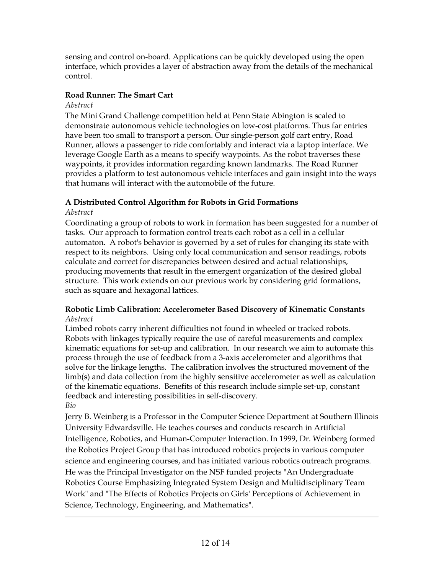sensing and control on-board. Applications can be quickly developed using the open interface, which provides a layer of abstraction away from the details of the mechanical control.

# **Road Runner: The Smart Cart**

# *Abstract*

The Mini Grand Challenge competition held at Penn State Abington is scaled to demonstrate autonomous vehicle technologies on low-cost platforms. Thus far entries have been too small to transport a person. Our single-person golf cart entry, Road Runner, allows a passenger to ride comfortably and interact via a laptop interface. We leverage Google Earth as a means to specify waypoints. As the robot traverses these waypoints, it provides information regarding known landmarks. The Road Runner provides a platform to test autonomous vehicle interfaces and gain insight into the ways that humans will interact with the automobile of the future.

# **A Distributed Control Algorithm for Robots in Grid Formations**

# *Abstract*

Coordinating a group of robots to work in formation has been suggested for a number of tasks. Our approach to formation control treats each robot as a cell in a cellular automaton. A robot's behavior is governed by a set of rules for changing its state with respect to its neighbors. Using only local communication and sensor readings, robots calculate and correct for discrepancies between desired and actual relationships, producing movements that result in the emergent organization of the desired global structure. This work extends on our previous work by considering grid formations, such as square and hexagonal lattices.

# **Robotic Limb Calibration: Accelerometer Based Discovery of Kinematic Constants** *Abstract*

Limbed robots carry inherent difficulties not found in wheeled or tracked robots. Robots with linkages typically require the use of careful measurements and complex kinematic equations for set-up and calibration. In our research we aim to automate this process through the use of feedback from a 3-axis accelerometer and algorithms that solve for the linkage lengths. The calibration involves the structured movement of the limb(s) and data collection from the highly sensitive accelerometer as well as calculation of the kinematic equations. Benefits of this research include simple set-up, constant feedback and interesting possibilities in self-discovery. *Bio*

Jerry B. Weinberg is a Professor in the Computer Science Department at Southern Illinois University Edwardsville. He teaches courses and conducts research in Artificial Intelligence, Robotics, and Human-Computer Interaction. In 1999, Dr. Weinberg formed the Robotics Project Group that has introduced robotics projects in various computer science and engineering courses, and has initiated various robotics outreach programs. He was the Principal Investigator on the NSF funded projects "An Undergraduate Robotics Course Emphasizing Integrated System Design and Multidisciplinary Team Work" and "The Effects of Robotics Projects on Girls' Perceptions of Achievement in Science, Technology, Engineering, and Mathematics".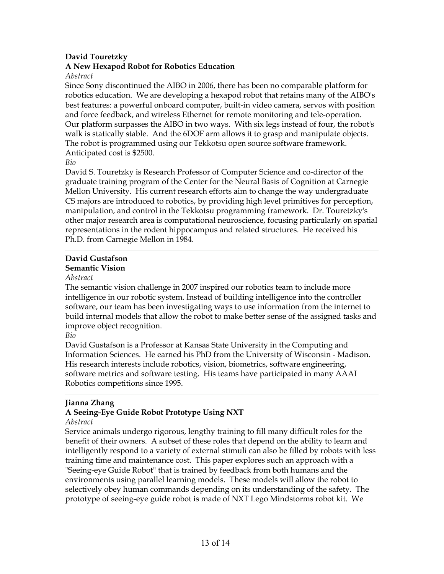### **David Touretzky**

### **A New Hexapod Robot for Robotics Education**

*Abstract*

Since Sony discontinued the AIBO in 2006, there has been no comparable platform for robotics education. We are developing a hexapod robot that retains many of the AIBO's best features: a powerful onboard computer, built-in video camera, servos with position and force feedback, and wireless Ethernet for remote monitoring and tele-operation. Our platform surpasses the AIBO in two ways. With six legs instead of four, the robot's walk is statically stable. And the 6DOF arm allows it to grasp and manipulate objects. The robot is programmed using our Tekkotsu open source software framework. Anticipated cost is \$2500.

*Bio*

David S. Touretzky is Research Professor of Computer Science and co-director of the graduate training program of the Center for the Neural Basis of Cognition at Carnegie Mellon University. His current research efforts aim to change the way undergraduate CS majors are introduced to robotics, by providing high level primitives for perception, manipulation, and control in the Tekkotsu programming framework. Dr. Touretzky's other major research area is computational neuroscience, focusing particularly on spatial representations in the rodent hippocampus and related structures. He received his Ph.D. from Carnegie Mellon in 1984.

### **David Gustafson Semantic Vision**

### *Abstract*

The semantic vision challenge in 2007 inspired our robotics team to include more intelligence in our robotic system. Instead of building intelligence into the controller software, our team has been investigating ways to use information from the internet to build internal models that allow the robot to make better sense of the assigned tasks and improve object recognition.

*Bio*

David Gustafson is a Professor at Kansas State University in the Computing and Information Sciences. He earned his PhD from the University of Wisconsin - Madison. His research interests include robotics, vision, biometrics, software engineering, software metrics and software testing. His teams have participated in many AAAI Robotics competitions since 1995.

# **Jianna Zhang**

# **A Seeing-Eye Guide Robot Prototype Using NXT**

### *Abstract*

Service animals undergo rigorous, lengthy training to fill many difficult roles for the benefit of their owners. A subset of these roles that depend on the ability to learn and intelligently respond to a variety of external stimuli can also be filled by robots with less training time and maintenance cost. This paper explores such an approach with a "Seeing-eye Guide Robot" that is trained by feedback from both humans and the environments using parallel learning models. These models will allow the robot to selectively obey human commands depending on its understanding of the safety. The prototype of seeing-eye guide robot is made of NXT Lego Mindstorms robot kit. We